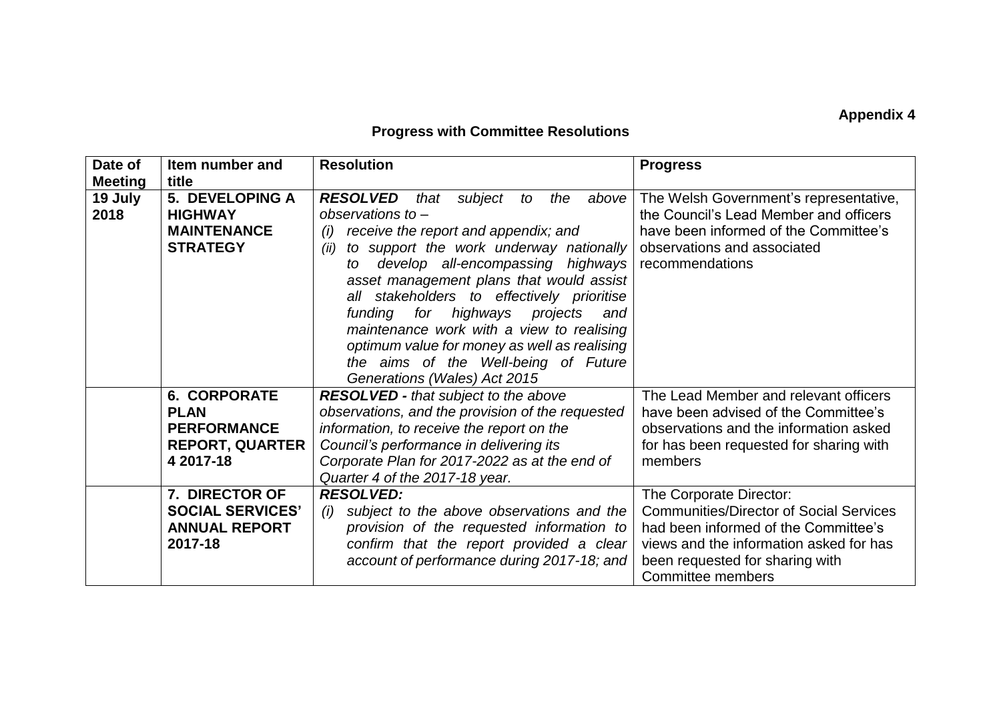## **Appendix 4**

## **Progress with Committee Resolutions**

| Date of                           | Item number and                                                                                 | <b>Resolution</b>                                                                                                                                                                                                                                                                                                                                                                                                                                                                                                                     | <b>Progress</b>                                                                                                                                                                                                      |
|-----------------------------------|-------------------------------------------------------------------------------------------------|---------------------------------------------------------------------------------------------------------------------------------------------------------------------------------------------------------------------------------------------------------------------------------------------------------------------------------------------------------------------------------------------------------------------------------------------------------------------------------------------------------------------------------------|----------------------------------------------------------------------------------------------------------------------------------------------------------------------------------------------------------------------|
| <b>Meeting</b><br>19 July<br>2018 | title<br>5. DEVELOPING A<br><b>HIGHWAY</b><br><b>MAINTENANCE</b><br><b>STRATEGY</b>             | <b>RESOLVED</b><br>subject<br>the<br>that<br>to<br>above  <br>observations to $-$<br>receive the report and appendix; and<br>(i)<br>to support the work underway nationally<br>(ii)<br>develop all-encompassing highways<br>to<br>asset management plans that would assist<br>all stakeholders to effectively prioritise<br>funding for highways projects<br>and<br>maintenance work with a view to realising<br>optimum value for money as well as realising<br>the aims of the Well-being of Future<br>Generations (Wales) Act 2015 | The Welsh Government's representative,<br>the Council's Lead Member and officers<br>have been informed of the Committee's<br>observations and associated<br>recommendations                                          |
|                                   | <b>6. CORPORATE</b><br><b>PLAN</b><br><b>PERFORMANCE</b><br><b>REPORT, QUARTER</b><br>4 2017-18 | <b>RESOLVED - that subject to the above</b><br>observations, and the provision of the requested<br>information, to receive the report on the<br>Council's performance in delivering its<br>Corporate Plan for 2017-2022 as at the end of<br>Quarter 4 of the 2017-18 year.                                                                                                                                                                                                                                                            | The Lead Member and relevant officers<br>have been advised of the Committee's<br>observations and the information asked<br>for has been requested for sharing with<br>members                                        |
|                                   | 7. DIRECTOR OF<br><b>SOCIAL SERVICES'</b><br><b>ANNUAL REPORT</b><br>2017-18                    | <b>RESOLVED:</b><br>subject to the above observations and the<br>(i)<br>provision of the requested information to<br>confirm that the report provided a clear<br>account of performance during 2017-18; and                                                                                                                                                                                                                                                                                                                           | The Corporate Director:<br><b>Communities/Director of Social Services</b><br>had been informed of the Committee's<br>views and the information asked for has<br>been requested for sharing with<br>Committee members |